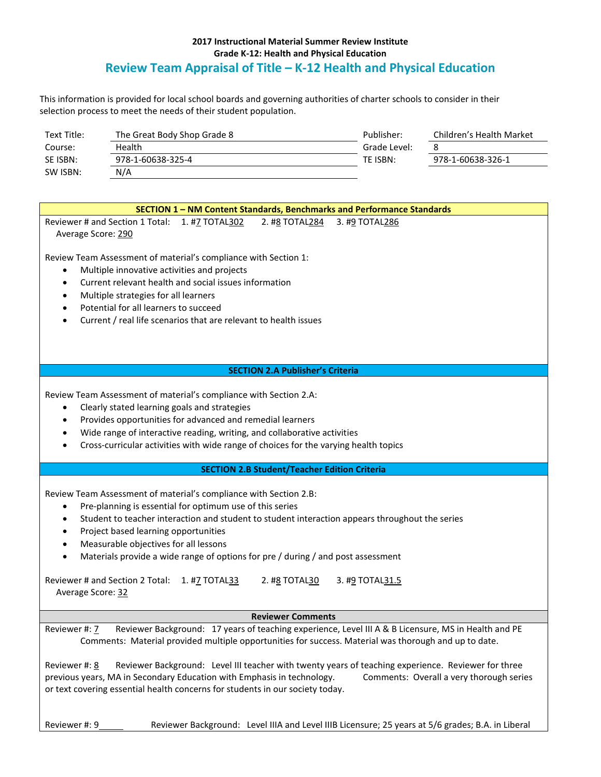## **2017 Instructional Material Summer Review Institute Grade K-12: Health and Physical Education Review Team Appraisal of Title – K-12 Health and Physical Education**

This information is provided for local school boards and governing authorities of charter schools to consider in their selection process to meet the needs of their student population.

| Text Title: | The Great Body Shop Grade 8 | Publisher:   | Children's Health Market |
|-------------|-----------------------------|--------------|--------------------------|
| Course:     | Health                      | Grade Level: |                          |
| SE ISBN:    | 978-1-60638-325-4           | TE ISBN:     | 978-1-60638-326-1        |
| SW ISBN:    | N/A                         |              |                          |

| SECTION 1 - NM Content Standards, Benchmarks and Performance Standards                                                                                                                                                                                                                                                                                                                                                                                                                                                                                      |  |  |  |
|-------------------------------------------------------------------------------------------------------------------------------------------------------------------------------------------------------------------------------------------------------------------------------------------------------------------------------------------------------------------------------------------------------------------------------------------------------------------------------------------------------------------------------------------------------------|--|--|--|
| Reviewer # and Section 1 Total: 1. #7 TOTAL302<br>2. #8 TOTAL284<br>3. #9 TOTAL286<br>Average Score: 290                                                                                                                                                                                                                                                                                                                                                                                                                                                    |  |  |  |
| Review Team Assessment of material's compliance with Section 1:<br>Multiple innovative activities and projects<br>$\bullet$<br>Current relevant health and social issues information<br>$\bullet$<br>Multiple strategies for all learners<br>$\bullet$<br>Potential for all learners to succeed<br>$\bullet$<br>Current / real life scenarios that are relevant to health issues<br>$\bullet$                                                                                                                                                               |  |  |  |
| <b>SECTION 2.A Publisher's Criteria</b>                                                                                                                                                                                                                                                                                                                                                                                                                                                                                                                     |  |  |  |
|                                                                                                                                                                                                                                                                                                                                                                                                                                                                                                                                                             |  |  |  |
| Review Team Assessment of material's compliance with Section 2.A:<br>Clearly stated learning goals and strategies<br>$\bullet$<br>Provides opportunities for advanced and remedial learners<br>$\bullet$                                                                                                                                                                                                                                                                                                                                                    |  |  |  |
|                                                                                                                                                                                                                                                                                                                                                                                                                                                                                                                                                             |  |  |  |
| Wide range of interactive reading, writing, and collaborative activities<br>$\bullet$<br>Cross-curricular activities with wide range of choices for the varying health topics                                                                                                                                                                                                                                                                                                                                                                               |  |  |  |
| <b>SECTION 2.B Student/Teacher Edition Criteria</b>                                                                                                                                                                                                                                                                                                                                                                                                                                                                                                         |  |  |  |
| Review Team Assessment of material's compliance with Section 2.B:<br>Pre-planning is essential for optimum use of this series<br>$\bullet$<br>Student to teacher interaction and student to student interaction appears throughout the series<br>$\bullet$<br>Project based learning opportunities<br>$\bullet$<br>Measurable objectives for all lessons<br>$\bullet$<br>Materials provide a wide range of options for pre / during / and post assessment<br>$\bullet$<br>Reviewer # and Section 2 Total: 1. #7 TOTAL33<br>2. #8 TOTAL30<br>3. #9 TOTAL31.5 |  |  |  |
| Average Score: 32                                                                                                                                                                                                                                                                                                                                                                                                                                                                                                                                           |  |  |  |
| <b>Reviewer Comments</b>                                                                                                                                                                                                                                                                                                                                                                                                                                                                                                                                    |  |  |  |
|                                                                                                                                                                                                                                                                                                                                                                                                                                                                                                                                                             |  |  |  |
| Reviewer Background: 17 years of teaching experience, Level III A & B Licensure, MS in Health and PE<br>Reviewer #: 7<br>Comments: Material provided multiple opportunities for success. Material was thorough and up to date.                                                                                                                                                                                                                                                                                                                              |  |  |  |